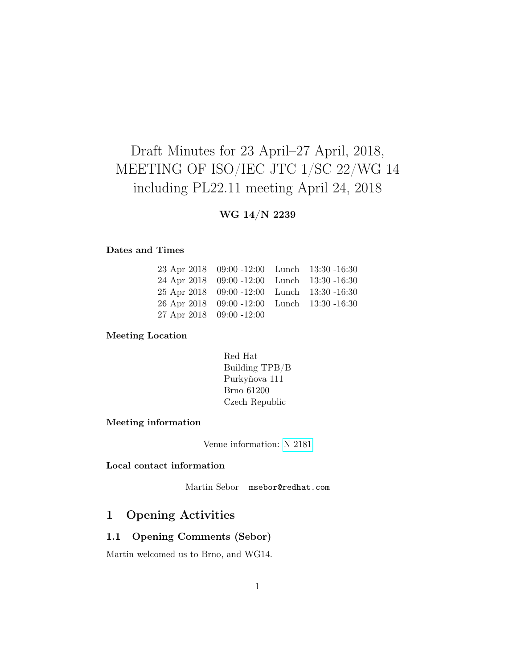# Draft Minutes for 23 April–27 April, 2018, MEETING OF ISO/IEC JTC 1/SC 22/WG 14 including PL22.11 meeting April 24, 2018

## WG 14/N 2239

#### Dates and Times

|                          | 23 Apr 2018 09:00 -12:00 Lunch 13:30 -16:30 |  |
|--------------------------|---------------------------------------------|--|
|                          | 24 Apr 2018 09:00 -12:00 Lunch 13:30 -16:30 |  |
|                          | 25 Apr 2018 09:00 -12:00 Lunch 13:30 -16:30 |  |
|                          | 26 Apr 2018 09:00 -12:00 Lunch 13:30 -16:30 |  |
| 27 Apr 2018 09:00 -12:00 |                                             |  |

#### Meeting Location

| Red Hat        |
|----------------|
| Building TPB/B |
| Purkyňova 111  |
| Brno 61200     |
| Czech Republic |

#### Meeting information

Venue information: [N 2181](http://www.open-std.org/jtc1/sc22/wg14/www/docs/n2181.htm)

## Local contact information

Martin Sebor msebor@redhat.com

## 1 Opening Activities

#### 1.1 Opening Comments (Sebor)

Martin welcomed us to Brno, and WG14.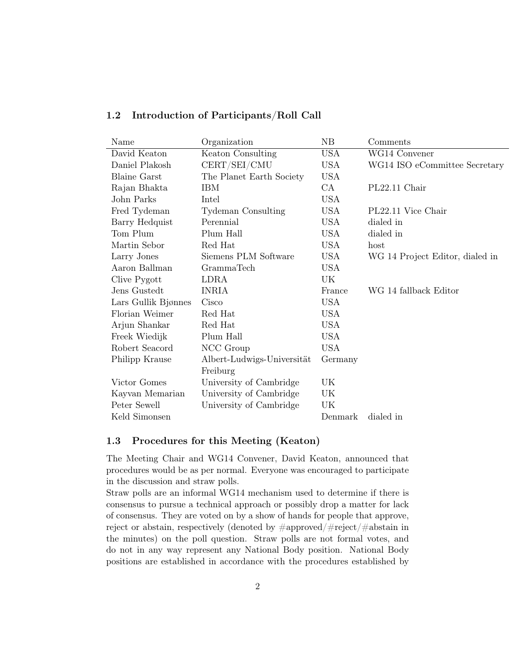| Name                | Organization               | NB         | Comments                        |
|---------------------|----------------------------|------------|---------------------------------|
| David Keaton        | Keaton Consulting          | <b>USA</b> | WG14 Convener                   |
| Daniel Plakosh      | CERT/SEI/CMU               | <b>USA</b> | WG14 ISO eCommittee Secretary   |
| <b>Blaine Garst</b> | The Planet Earth Society   | <b>USA</b> |                                 |
| Rajan Bhakta        | <b>IBM</b>                 | CA         | PL22.11 Chair                   |
| John Parks          | Intel                      | <b>USA</b> |                                 |
| Fred Tydeman        | <b>Tydeman Consulting</b>  | <b>USA</b> | PL22.11 Vice Chair              |
| Barry Hedquist      | Perennial                  | <b>USA</b> | dialed in                       |
| Tom Plum            | Plum Hall                  | <b>USA</b> | dialed in                       |
| Martin Sebor        | Red Hat                    | <b>USA</b> | host                            |
| Larry Jones         | Siemens PLM Software       | <b>USA</b> | WG 14 Project Editor, dialed in |
| Aaron Ballman       | <b>GrammaTech</b>          | <b>USA</b> |                                 |
| Clive Pygott        | LDRA                       | UK         |                                 |
| Jens Gustedt        | <b>INRIA</b>               | France     | WG 14 fallback Editor           |
| Lars Gullik Bjønnes | Cisco                      | <b>USA</b> |                                 |
| Florian Weimer      | Red Hat                    | <b>USA</b> |                                 |
| Arjun Shankar       | Red Hat                    | <b>USA</b> |                                 |
| Freek Wiedijk       | Plum Hall                  | <b>USA</b> |                                 |
| Robert Seacord      | NCC Group                  | <b>USA</b> |                                 |
| Philipp Krause      | Albert-Ludwigs-Universität | Germany    |                                 |
|                     | Freiburg                   |            |                                 |
| Victor Gomes        | University of Cambridge    | UK         |                                 |
| Kayvan Memarian     | University of Cambridge    | UK         |                                 |
| Peter Sewell        | University of Cambridge    | UK         |                                 |
| Keld Simonsen       |                            | Denmark    | dialed in                       |

## 1.2 Introduction of Participants/Roll Call

## 1.3 Procedures for this Meeting (Keaton)

The Meeting Chair and WG14 Convener, David Keaton, announced that procedures would be as per normal. Everyone was encouraged to participate in the discussion and straw polls.

Straw polls are an informal WG14 mechanism used to determine if there is consensus to pursue a technical approach or possibly drop a matter for lack of consensus. They are voted on by a show of hands for people that approve, reject or abstain, respectively (denoted by #approved/#reject/#abstain in the minutes) on the poll question. Straw polls are not formal votes, and do not in any way represent any National Body position. National Body positions are established in accordance with the procedures established by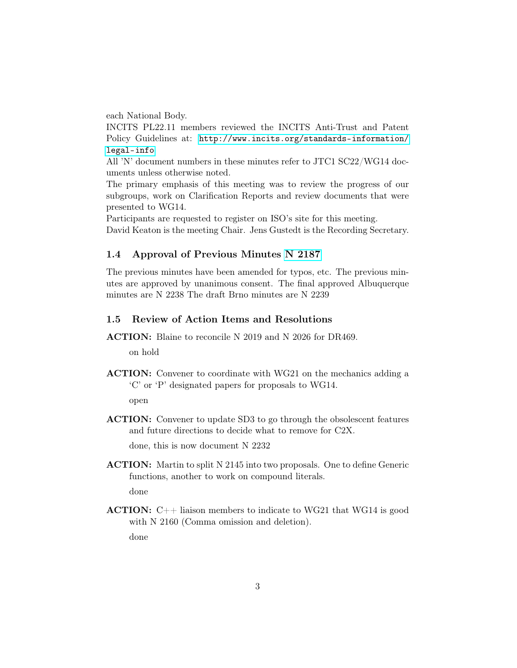each National Body.

INCITS PL22.11 members reviewed the INCITS Anti-Trust and Patent Policy Guidelines at: [http://www.incits.org/standards-information/](http://www.incits.org/standards-information/legal-info) [legal-info](http://www.incits.org/standards-information/legal-info)

All 'N' document numbers in these minutes refer to JTC1 SC22/WG14 documents unless otherwise noted.

The primary emphasis of this meeting was to review the progress of our subgroups, work on Clarification Reports and review documents that were presented to WG14.

Participants are requested to register on ISO's site for this meeting. David Keaton is the meeting Chair. Jens Gustedt is the Recording Secretary.

#### 1.4 Approval of Previous Minutes [N 2187](http://www.open-std.org/jtc1/sc22/wg14/www/docs/n2187.pdf)

The previous minutes have been amended for typos, etc. The previous minutes are approved by unanimous consent. The final approved Albuquerque minutes are N 2238 The draft Brno minutes are N 2239

### 1.5 Review of Action Items and Resolutions

ACTION: Blaine to reconcile N 2019 and N 2026 for DR469.

on hold

ACTION: Convener to coordinate with WG21 on the mechanics adding a 'C' or 'P' designated papers for proposals to WG14.

open

ACTION: Convener to update SD3 to go through the obsolescent features and future directions to decide what to remove for C2X.

done, this is now document N 2232

ACTION: Martin to split N 2145 into two proposals. One to define Generic functions, another to work on compound literals. done

**ACTION:**  $C++$  liaison members to indicate to WG21 that WG14 is good with N 2160 (Comma omission and deletion).

done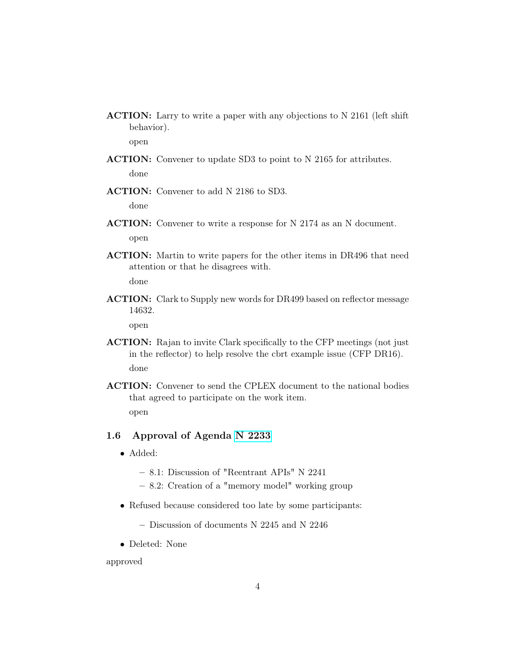ACTION: Larry to write a paper with any objections to N 2161 (left shift behavior).

open

- ACTION: Convener to update SD3 to point to N 2165 for attributes. done
- ACTION: Convener to add N 2186 to SD3.

done

- ACTION: Convener to write a response for N 2174 as an N document. open
- ACTION: Martin to write papers for the other items in DR496 that need attention or that he disagrees with.

done

ACTION: Clark to Supply new words for DR499 based on reflector message 14632.

open

- ACTION: Rajan to invite Clark specifically to the CFP meetings (not just in the reflector) to help resolve the cbrt example issue (CFP DR16). done
- ACTION: Convener to send the CPLEX document to the national bodies that agreed to participate on the work item. open

### 1.6 Approval of Agenda [N 2233](http://www.open-std.org/jtc1/sc22/wg14/www/docs/n2233.htm)

- Added:
	- 8.1: Discussion of "Reentrant APIs" N 2241
	- 8.2: Creation of a "memory model" working group
- Refused because considered too late by some participants:
	- Discussion of documents N 2245 and N 2246
- Deleted: None

approved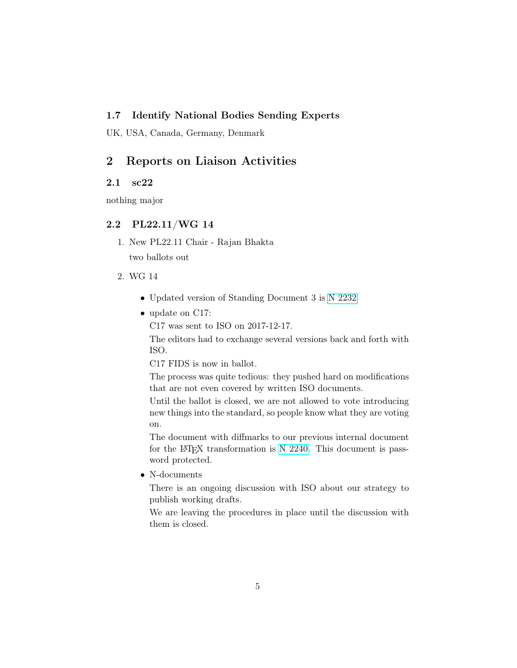## 1.7 Identify National Bodies Sending Experts

UK, USA, Canada, Germany, Denmark

## 2 Reports on Liaison Activities

## 2.1 sc22

nothing major

### 2.2 PL22.11/WG 14

- 1. New PL22.11 Chair Rajan Bhakta two ballots out
- 2. WG 14
	- Updated version of Standing Document 3 is [N 2232](http://www.open-std.org/jtc1/sc22/wg14/www/docs/n2232.htm)
	- update on C17:

C17 was sent to ISO on 2017-12-17.

The editors had to exchange several versions back and forth with ISO.

C17 FIDS is now in ballot.

The process was quite tedious: they pushed hard on modifications that are not even covered by written ISO documents.

Until the ballot is closed, we are not allowed to vote introducing new things into the standard, so people know what they are voting on.

The document with diffmarks to our previous internal document for the LAT<sub>EX</sub> transformation is [N 2240.](http://www.open-std.org/jtc1/sc22/wg14/www/docs/n2240.pdf) This document is password protected.

• N-documents

There is an ongoing discussion with ISO about our strategy to publish working drafts.

We are leaving the procedures in place until the discussion with them is closed.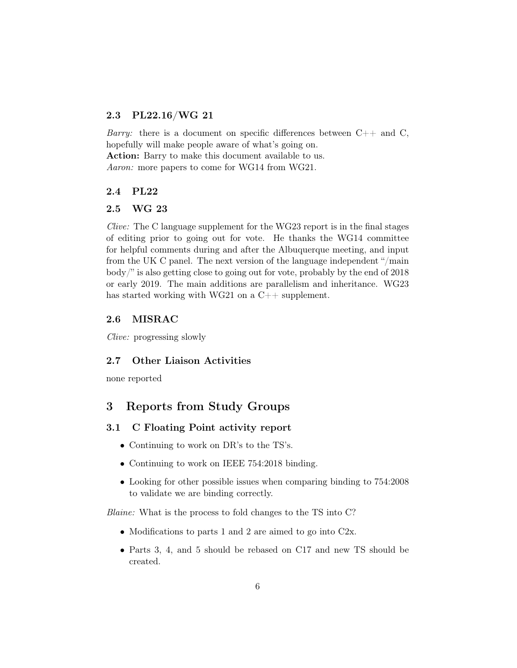## 2.3 PL22.16/WG 21

*Barry:* there is a document on specific differences between  $C_{++}$  and C, hopefully will make people aware of what's going on. Action: Barry to make this document available to us. Aaron: more papers to come for WG14 from WG21.

#### 2.4 PL22

#### 2.5 WG 23

Clive: The C language supplement for the WG23 report is in the final stages of editing prior to going out for vote. He thanks the WG14 committee for helpful comments during and after the Albuquerque meeting, and input from the UK C panel. The next version of the language independent "/main body/" is also getting close to going out for vote, probably by the end of 2018 or early 2019. The main additions are parallelism and inheritance. WG23 has started working with WG21 on a C++ supplement.

### 2.6 MISRAC

Clive: progressing slowly

#### 2.7 Other Liaison Activities

none reported

## 3 Reports from Study Groups

#### 3.1 C Floating Point activity report

- Continuing to work on DR's to the TS's.
- Continuing to work on IEEE 754:2018 binding.
- Looking for other possible issues when comparing binding to 754:2008 to validate we are binding correctly.

Blaine: What is the process to fold changes to the TS into C?

- Modifications to parts 1 and 2 are aimed to go into C2x.
- Parts 3, 4, and 5 should be rebased on C17 and new TS should be created.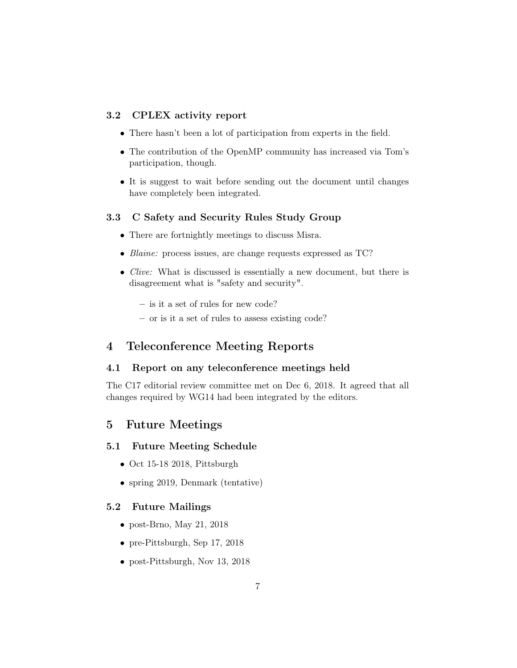### 3.2 CPLEX activity report

- There hasn't been a lot of participation from experts in the field.
- The contribution of the OpenMP community has increased via Tom's participation, though.
- It is suggest to wait before sending out the document until changes have completely been integrated.

#### 3.3 C Safety and Security Rules Study Group

- There are fortnightly meetings to discuss Misra.
- Blaine: process issues, are change requests expressed as TC?
- *Clive:* What is discussed is essentially a new document, but there is disagreement what is "safety and security".
	- is it a set of rules for new code?
	- or is it a set of rules to assess existing code?

## 4 Teleconference Meeting Reports

## 4.1 Report on any teleconference meetings held

The C17 editorial review committee met on Dec 6, 2018. It agreed that all changes required by WG14 had been integrated by the editors.

## 5 Future Meetings

## 5.1 Future Meeting Schedule

- Oct 15-18 2018, Pittsburgh
- spring 2019, Denmark (tentative)

#### 5.2 Future Mailings

- post-Brno, May 21, 2018
- pre-Pittsburgh, Sep 17, 2018
- post-Pittsburgh, Nov 13, 2018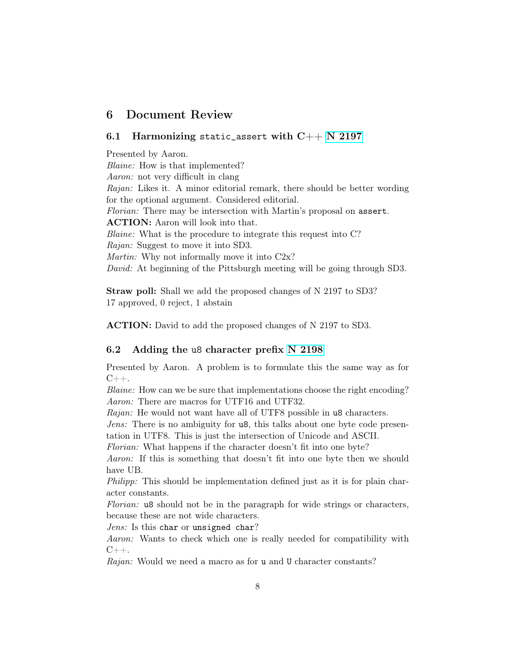## 6 Document Review

### 6.1 Harmonizing static\_assert with  $C++N$  2197

Presented by Aaron. Blaine: How is that implemented? Aaron: not very difficult in clang Rajan: Likes it. A minor editorial remark, there should be better wording for the optional argument. Considered editorial. Florian: There may be intersection with Martin's proposal on assert. ACTION: Aaron will look into that. *Blaine:* What is the procedure to integrate this request into C? Rajan: Suggest to move it into SD3. Martin: Why not informally move it into C2x? David: At beginning of the Pittsburgh meeting will be going through SD3.

Straw poll: Shall we add the proposed changes of N 2197 to SD3? 17 approved, 0 reject, 1 abstain

ACTION: David to add the proposed changes of N 2197 to SD3.

#### 6.2 Adding the u8 character prefix [N 2198](http://www.open-std.org/jtc1/sc22/wg14/www/docs/n2198.pdf)

Presented by Aaron. A problem is to formulate this the same way as for  $C_{++}$ .

Blaine: How can we be sure that implementations choose the right encoding? Aaron: There are macros for UTF16 and UTF32.

Rajan: He would not want have all of UTF8 possible in u8 characters.

Jens: There is no ambiguity for u8, this talks about one byte code presentation in UTF8. This is just the intersection of Unicode and ASCII.

Florian: What happens if the character doesn't fit into one byte?

Aaron: If this is something that doesn't fit into one byte then we should have UB.

Philipp: This should be implementation defined just as it is for plain character constants.

Florian: u8 should not be in the paragraph for wide strings or characters, because these are not wide characters.

Jens: Is this char or unsigned char?

Aaron: Wants to check which one is really needed for compatibility with  $C_{++}$ .

Rajan: Would we need a macro as for **u** and **U** character constants?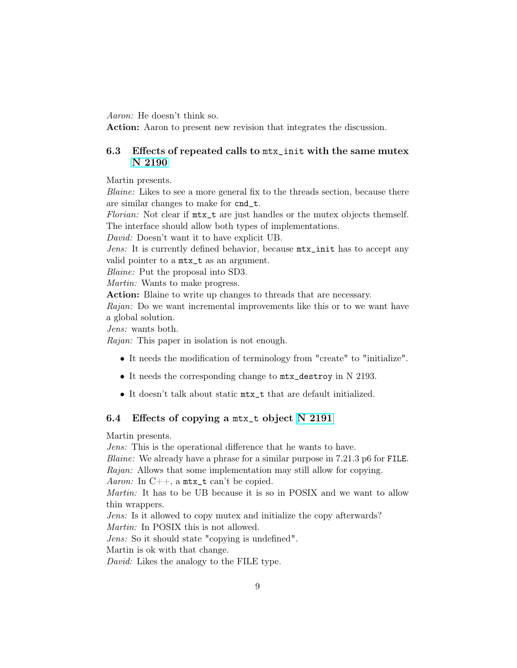Aaron: He doesn't think so.

Action: Aaron to present new revision that integrates the discussion.

## 6.3 Effects of repeated calls to mtx\_init with the same mutex [N 2190](http://www.open-std.org/jtc1/sc22/wg14/www/docs/n2190.htm)

Martin presents.

Blaine: Likes to see a more general fix to the threads section, because there are similar changes to make for cnd\_t.

Florian: Not clear if  $mtx_t$  are just handles or the mutex objects themself. The interface should allow both types of implementations.

David: Doesn't want it to have explicit UB.

Jens: It is currently defined behavior, because mtx\_init has to accept any valid pointer to a mtx\_t as an argument.

Blaine: Put the proposal into SD3.

Martin: Wants to make progress.

Action: Blaine to write up changes to threads that are necessary.

Rajan: Do we want incremental improvements like this or to we want have a global solution.

Jens: wants both.

Rajan: This paper in isolation is not enough.

- It needs the modification of terminology from "create" to "initialize".
- It needs the corresponding change to mtx\_destroy in N 2193.
- It doesn't talk about static mtx\_t that are default initialized.

#### 6.4 Effects of copying a mtx\_t object [N 2191](http://www.open-std.org/jtc1/sc22/wg14/www/docs/n2191.htm)

Martin presents.

Jens: This is the operational difference that he wants to have.

Blaine: We already have a phrase for a similar purpose in 7.21.3 p6 for FILE. Rajan: Allows that some implementation may still allow for copying.

Aaron: In  $C_{++}$ , a mtx\_t can't be copied.

Martin: It has to be UB because it is so in POSIX and we want to allow thin wrappers.

Jens: Is it allowed to copy mutex and initialize the copy afterwards?

Martin: In POSIX this is not allowed.

Jens: So it should state "copying is undefined".

Martin is ok with that change.

David: Likes the analogy to the FILE type.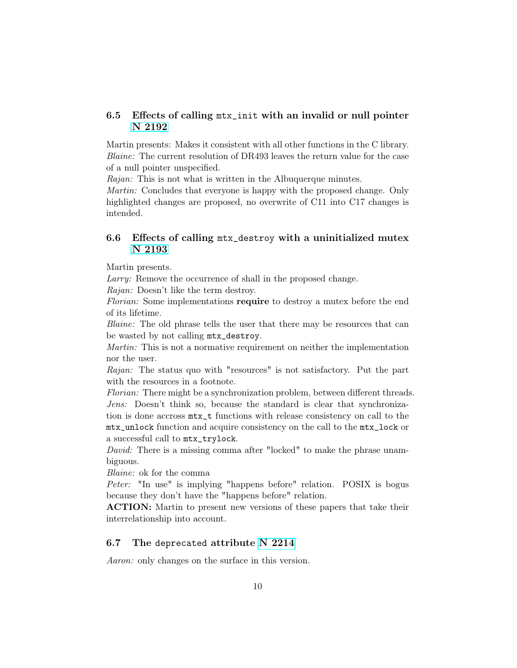## 6.5 Effects of calling mtx\_init with an invalid or null pointer [N 2192](http://www.open-std.org/jtc1/sc22/wg14/www/docs/n2192.htm)

Martin presents: Makes it consistent with all other functions in the C library. Blaine: The current resolution of DR493 leaves the return value for the case of a null pointer unspecified.

Rajan: This is not what is written in the Albuquerque minutes.

Martin: Concludes that everyone is happy with the proposed change. Only highlighted changes are proposed, no overwrite of C11 into C17 changes is intended.

## 6.6 Effects of calling mtx\_destroy with a uninitialized mutex [N 2193](http://www.open-std.org/jtc1/sc22/wg14/www/docs/n2193.htm)

Martin presents.

Larry: Remove the occurrence of shall in the proposed change.

Rajan: Doesn't like the term destroy.

Florian: Some implementations **require** to destroy a mutex before the end of its lifetime.

Blaine: The old phrase tells the user that there may be resources that can be wasted by not calling mtx\_destroy.

Martin: This is not a normative requirement on neither the implementation nor the user.

Rajan: The status quo with "resources" is not satisfactory. Put the part with the resources in a footnote.

Florian: There might be a synchronization problem, between different threads. Jens: Doesn't think so, because the standard is clear that synchronization is done accross mtx\_t functions with release consistency on call to the mtx\_unlock function and acquire consistency on the call to the mtx\_lock or a successful call to mtx\_trylock.

David: There is a missing comma after "locked" to make the phrase unambiguous.

Blaine: ok for the comma

Peter: "In use" is implying "happens before" relation. POSIX is bogus because they don't have the "happens before" relation.

ACTION: Martin to present new versions of these papers that take their interrelationship into account.

### 6.7 The deprecated attribute [N 2214](http://www.open-std.org/jtc1/sc22/wg14/www/docs/n2214.pdf)

Aaron: only changes on the surface in this version.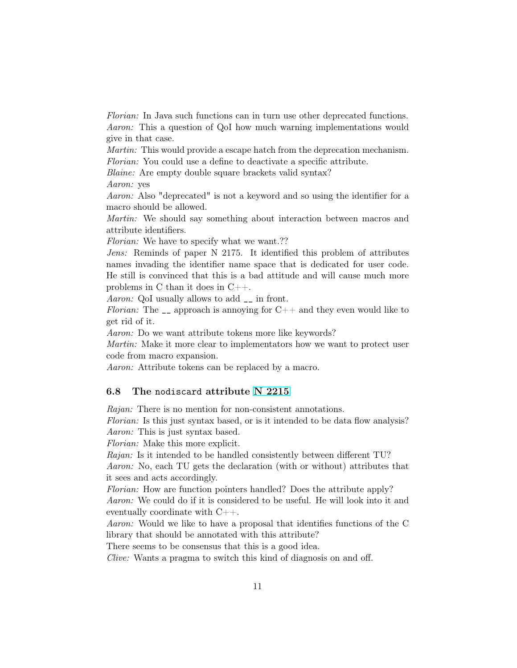Florian: In Java such functions can in turn use other deprecated functions. Aaron: This a question of QoI how much warning implementations would give in that case.

Martin: This would provide a escape hatch from the deprecation mechanism. Florian: You could use a define to deactivate a specific attribute.

Blaine: Are empty double square brackets valid syntax?

Aaron: yes

Aaron: Also "deprecated" is not a keyword and so using the identifier for a macro should be allowed.

Martin: We should say something about interaction between macros and attribute identifiers.

Florian: We have to specify what we want.??

Jens: Reminds of paper N 2175. It identified this problem of attributes names invading the identifier name space that is dedicated for user code. He still is convinced that this is a bad attitude and will cause much more problems in C than it does in C++.

Aaron: QoI usually allows to add \_\_ in front.

Florian: The  $\Box$  approach is annoying for C++ and they even would like to get rid of it.

Aaron: Do we want attribute tokens more like keywords?

Martin: Make it more clear to implementators how we want to protect user code from macro expansion.

Aaron: Attribute tokens can be replaced by a macro.

#### 6.8 The nodiscard attribute [N 2215](http://www.open-std.org/jtc1/sc22/wg14/www/docs/n2215.pdf)

Rajan: There is no mention for non-consistent annotations.

Florian: Is this just syntax based, or is it intended to be data flow analysis? Aaron: This is just syntax based.

Florian: Make this more explicit.

Rajan: Is it intended to be handled consistently between different TU?

Aaron: No, each TU gets the declaration (with or without) attributes that it sees and acts accordingly.

Florian: How are function pointers handled? Does the attribute apply? Aaron: We could do if it is considered to be useful. He will look into it and eventually coordinate with C++.

Aaron: Would we like to have a proposal that identifies functions of the C library that should be annotated with this attribute?

There seems to be consensus that this is a good idea.

Clive: Wants a pragma to switch this kind of diagnosis on and off.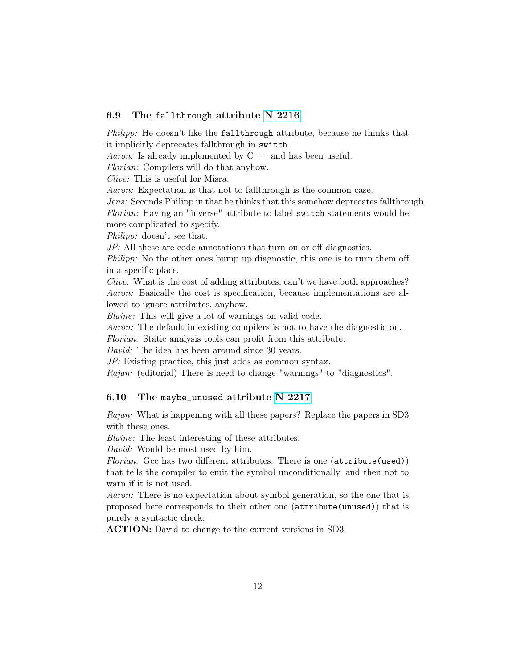#### 6.9 The fallthrough attribute [N 2216](http://www.open-std.org/jtc1/sc22/wg14/www/docs/n2216.pdf)

Philipp: He doesn't like the fallthrough attribute, because he thinks that it implicitly deprecates fallthrough in switch.

Aaron: Is already implemented by  $C_{++}$  and has been useful.

Florian: Compilers will do that anyhow.

Clive: This is useful for Misra.

Aaron: Expectation is that not to fallthrough is the common case.

Jens: Seconds Philipp in that he thinks that this somehow deprecates fallthrough. Florian: Having an "inverse" attribute to label switch statements would be more complicated to specify.

Philipp: doesn't see that.

JP: All these are code annotations that turn on or off diagnostics.

*Philipp:* No the other ones bump up diagnostic, this one is to turn them off in a specific place.

Clive: What is the cost of adding attributes, can't we have both approaches? Aaron: Basically the cost is specification, because implementations are allowed to ignore attributes, anyhow.

Blaine: This will give a lot of warnings on valid code.

Aaron: The default in existing compilers is not to have the diagnostic on.

Florian: Static analysis tools can profit from this attribute.

David: The idea has been around since 30 years.

JP: Existing practice, this just adds as common syntax.

Rajan: (editorial) There is need to change "warnings" to "diagnostics".

#### 6.10 The maybe\_unused attribute [N 2217](http://www.open-std.org/jtc1/sc22/wg14/www/docs/n2217.pdf)

Rajan: What is happening with all these papers? Replace the papers in SD3 with these ones.

Blaine: The least interesting of these attributes.

David: Would be most used by him.

Florian: Gcc has two different attributes. There is one  $(\text{attribute}(\text{used}))$ that tells the compiler to emit the symbol unconditionally, and then not to warn if it is not used.

Aaron: There is no expectation about symbol generation, so the one that is proposed here corresponds to their other one (attribute(unused)) that is purely a syntactic check.

ACTION: David to change to the current versions in SD3.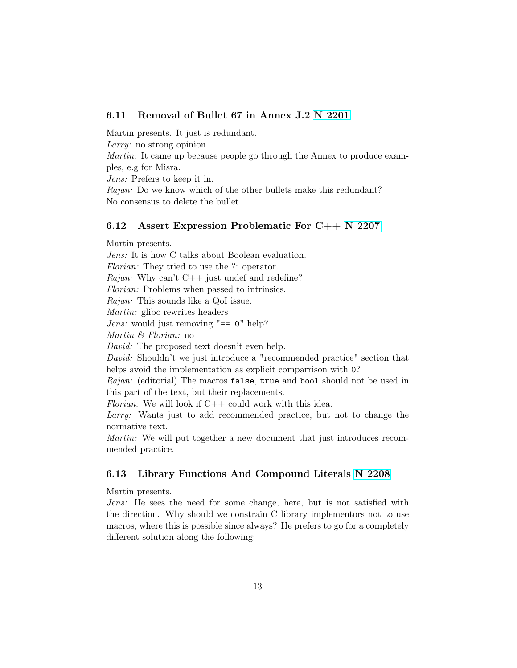## 6.11 Removal of Bullet 67 in Annex J.2 [N 2201](http://www.open-std.org/jtc1/sc22/wg14/www/docs/n2201.pdf)

Martin presents. It just is redundant. Larry: no strong opinion Martin: It came up because people go through the Annex to produce examples, e.g for Misra. Jens: Prefers to keep it in. Rajan: Do we know which of the other bullets make this redundant? No consensus to delete the bullet.

#### 6.12 Assert Expression Problematic For C++ [N 2207](http://www.open-std.org/jtc1/sc22/wg14/www/docs/n2207.htm)

Martin presents. Jens: It is how C talks about Boolean evaluation. Florian: They tried to use the ?: operator. Rajan: Why can't  $C++$  just undef and redefine? Florian: Problems when passed to intrinsics. Rajan: This sounds like a QoI issue. Martin: glibc rewrites headers *Jens:* would just removing  $"== 0" help?$ Martin & Florian: no David: The proposed text doesn't even help. David: Shouldn't we just introduce a "recommended practice" section that helps avoid the implementation as explicit comparrison with  $\mathcal{O}$ ? Rajan: (editorial) The macros false, true and bool should not be used in this part of the text, but their replacements. Florian: We will look if  $C++$  could work with this idea. Larry: Wants just to add recommended practice, but not to change the normative text.

Martin: We will put together a new document that just introduces recommended practice.

#### 6.13 Library Functions And Compound Literals [N 2208](http://www.open-std.org/jtc1/sc22/wg14/www/docs/n2208.htm)

Martin presents.

Jens: He sees the need for some change, here, but is not satisfied with the direction. Why should we constrain C library implementors not to use macros, where this is possible since always? He prefers to go for a completely different solution along the following: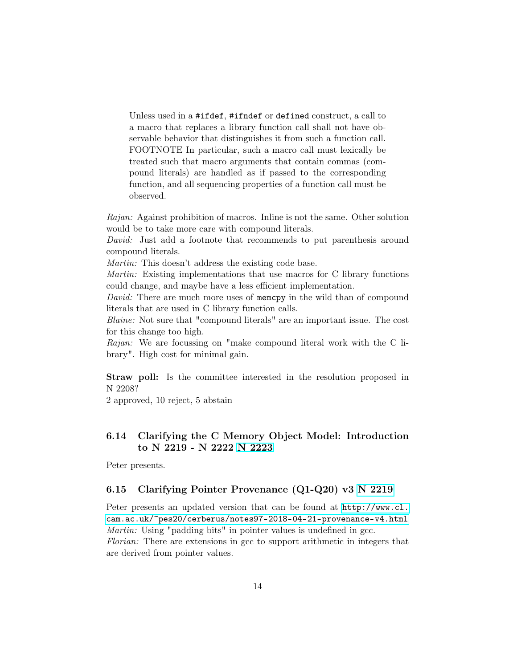Unless used in a #ifdef, #ifndef or defined construct, a call to a macro that replaces a library function call shall not have observable behavior that distinguishes it from such a function call. FOOTNOTE In particular, such a macro call must lexically be treated such that macro arguments that contain commas (compound literals) are handled as if passed to the corresponding function, and all sequencing properties of a function call must be observed.

Rajan: Against prohibition of macros. Inline is not the same. Other solution would be to take more care with compound literals.

David: Just add a footnote that recommends to put parenthesis around compound literals.

Martin: This doesn't address the existing code base.

Martin: Existing implementations that use macros for C library functions could change, and maybe have a less efficient implementation.

David: There are much more uses of memory in the wild than of compound literals that are used in C library function calls.

Blaine: Not sure that "compound literals" are an important issue. The cost for this change too high.

Rajan: We are focussing on "make compound literal work with the C library". High cost for minimal gain.

Straw poll: Is the committee interested in the resolution proposed in N 2208?

2 approved, 10 reject, 5 abstain

## 6.14 Clarifying the C Memory Object Model: Introduction to N 2219 - N 2222 [N 2223](http://www.open-std.org/jtc1/sc22/wg14/www/docs/n2223.htm)

Peter presents.

#### 6.15 Clarifying Pointer Provenance (Q1-Q20) v3 [N 2219](http://www.open-std.org/jtc1/sc22/wg14/www/docs/n2219.htm)

Peter presents an updated version that can be found at [http://www.cl.](http://www.cl.cam.ac.uk/~pes20/cerberus/notes97-2018-04-21-provenance-v4.html) [cam.ac.uk/~pes20/cerberus/notes97-2018-04-21-provenance-v4.html](http://www.cl.cam.ac.uk/~pes20/cerberus/notes97-2018-04-21-provenance-v4.html) Martin: Using "padding bits" in pointer values is undefined in gcc. Florian: There are extensions in gcc to support arithmetic in integers that are derived from pointer values.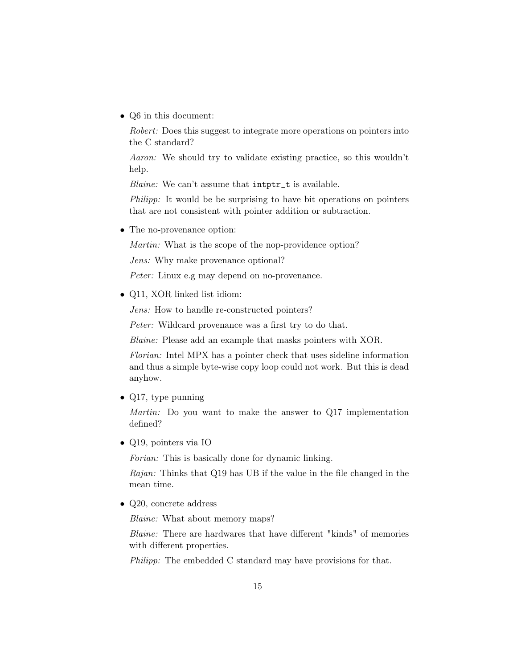• Q6 in this document:

Robert: Does this suggest to integrate more operations on pointers into the C standard?

Aaron: We should try to validate existing practice, so this wouldn't help.

Blaine: We can't assume that intptr\_t is available.

Philipp: It would be be surprising to have bit operations on pointers that are not consistent with pointer addition or subtraction.

• The no-provenance option:

Martin: What is the scope of the nop-providence option?

Jens: Why make provenance optional?

Peter: Linux e.g may depend on no-provenance.

• Q11, XOR linked list idiom:

Jens: How to handle re-constructed pointers?

Peter: Wildcard provenance was a first try to do that.

Blaine: Please add an example that masks pointers with XOR.

Florian: Intel MPX has a pointer check that uses sideline information and thus a simple byte-wise copy loop could not work. But this is dead anyhow.

• Q17, type punning

Martin: Do you want to make the answer to Q17 implementation defined?

• Q19, pointers via IO

Forian: This is basically done for dynamic linking.

Rajan: Thinks that Q19 has UB if the value in the file changed in the mean time.

• Q20, concrete address

Blaine: What about memory maps?

Blaine: There are hardwares that have different "kinds" of memories with different properties.

Philipp: The embedded C standard may have provisions for that.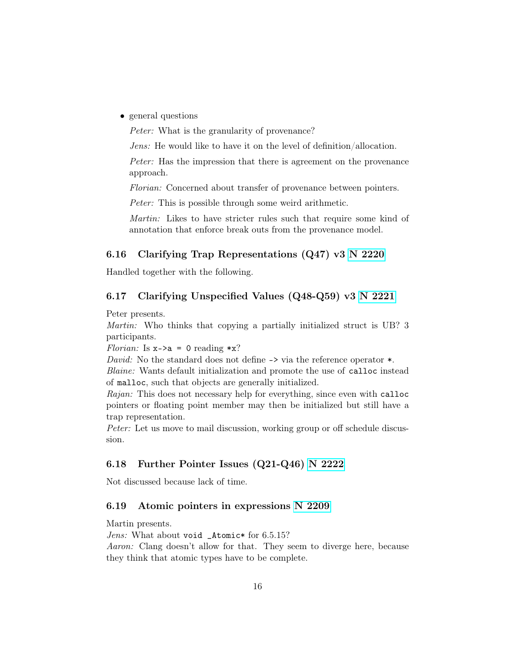• general questions

Peter: What is the granularity of provenance?

Jens: He would like to have it on the level of definition/allocation.

Peter: Has the impression that there is agreement on the provenance approach.

Florian: Concerned about transfer of provenance between pointers.

Peter: This is possible through some weird arithmetic.

Martin: Likes to have stricter rules such that require some kind of annotation that enforce break outs from the provenance model.

#### 6.16 Clarifying Trap Representations (Q47) v3 [N 2220](http://www.open-std.org/jtc1/sc22/wg14/www/docs/n2220.htm)

Handled together with the following.

## 6.17 Clarifying Unspecified Values (Q48-Q59) v3 [N 2221](http://www.open-std.org/jtc1/sc22/wg14/www/docs/n2221.htm)

Peter presents.

Martin: Who thinks that copying a partially initialized struct is UB? 3 participants.

Florian: Is  $x \rightarrow a = 0$  reading  $*x$ ?

David: No the standard does not define  $\rightarrow$  via the reference operator  $\ast$ .

Blaine: Wants default initialization and promote the use of calloc instead of malloc, such that objects are generally initialized.

Rajan: This does not necessary help for everything, since even with calloc pointers or floating point member may then be initialized but still have a trap representation.

Peter: Let us move to mail discussion, working group or off schedule discussion.

## 6.18 Further Pointer Issues (Q21-Q46) [N 2222](http://www.open-std.org/jtc1/sc22/wg14/www/docs/n2222.htm)

Not discussed because lack of time.

## 6.19 Atomic pointers in expressions [N 2209](http://www.open-std.org/jtc1/sc22/wg14/www/docs/n2209.htm)

Martin presents.

Jens: What about void \_Atomic\* for 6.5.15?

Aaron: Clang doesn't allow for that. They seem to diverge here, because they think that atomic types have to be complete.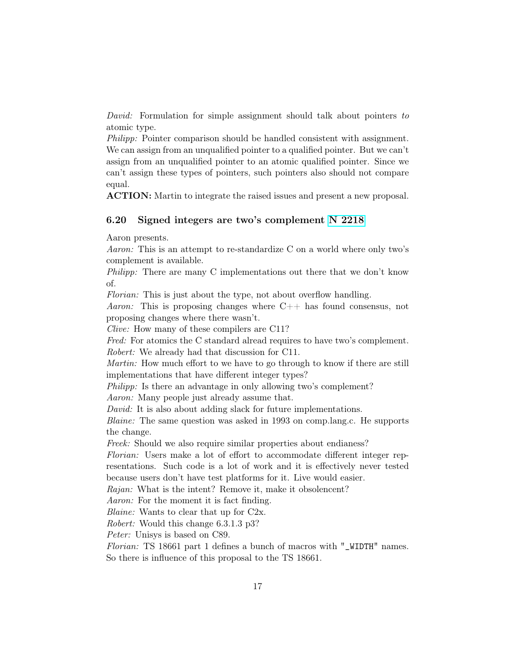David: Formulation for simple assignment should talk about pointers to atomic type.

Philipp: Pointer comparison should be handled consistent with assignment. We can assign from an unqualified pointer to a qualified pointer. But we can't assign from an unqualified pointer to an atomic qualified pointer. Since we can't assign these types of pointers, such pointers also should not compare equal.

ACTION: Martin to integrate the raised issues and present a new proposal.

#### 6.20 Signed integers are two's complement [N 2218](http://www.open-std.org/jtc1/sc22/wg14/www/docs/n2218.htm)

Aaron presents.

Aaron: This is an attempt to re-standardize C on a world where only two's complement is available.

Philipp: There are many C implementations out there that we don't know of.

Florian: This is just about the type, not about overflow handling.

Aaron: This is proposing changes where  $C_{++}$  has found consensus, not proposing changes where there wasn't.

Clive: How many of these compilers are C11?

Fred: For atomics the C standard alread requires to have two's complement. Robert: We already had that discussion for C11.

Martin: How much effort to we have to go through to know if there are still implementations that have different integer types?

Philipp: Is there an advantage in only allowing two's complement?

Aaron: Many people just already assume that.

David: It is also about adding slack for future implementations.

Blaine: The same question was asked in 1993 on comp.lang.c. He supports the change.

Freek: Should we also require similar properties about endianess?

Florian: Users make a lot of effort to accommodate different integer representations. Such code is a lot of work and it is effectively never tested because users don't have test platforms for it. Live would easier.

Rajan: What is the intent? Remove it, make it obsolencent?

Aaron: For the moment it is fact finding.

Blaine: Wants to clear that up for C2x.

Robert: Would this change 6.3.1.3 p3?

Peter: Unisys is based on C89.

Florian: TS 18661 part 1 defines a bunch of macros with "\_WIDTH" names. So there is influence of this proposal to the TS 18661.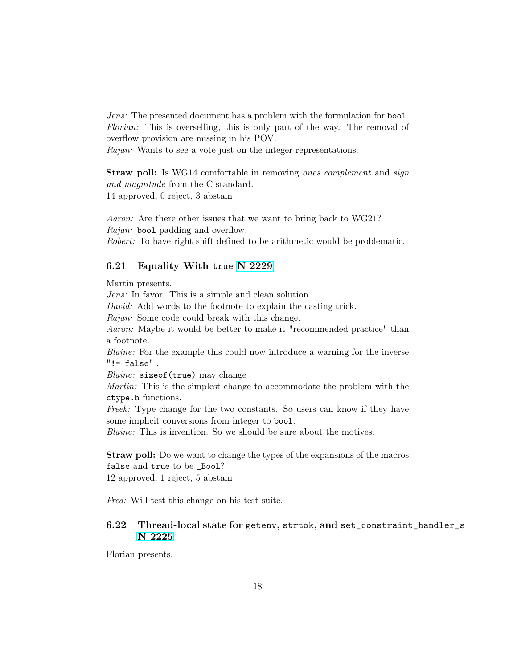Jens: The presented document has a problem with the formulation for bool. Florian: This is overselling, this is only part of the way. The removal of overflow provision are missing in his POV.

Rajan: Wants to see a vote just on the integer representations.

Straw poll: Is WG14 comfortable in removing ones complement and sign and magnitude from the C standard. 14 approved, 0 reject, 3 abstain

Aaron: Are there other issues that we want to bring back to WG21? Rajan: bool padding and overflow. Robert: To have right shift defined to be arithmetic would be problematic.

#### 6.21 Equality With true [N 2229](http://www.open-std.org/jtc1/sc22/wg14/www/docs/n2229.htm)

Martin presents.

Jens: In favor. This is a simple and clean solution.

David: Add words to the footnote to explain the casting trick.

Rajan: Some code could break with this change.

Aaron: Maybe it would be better to make it "recommended practice" than a footnote.

Blaine: For the example this could now introduce a warning for the inverse  $" != false"$ .

Blaine: sizeof(true) may change

Martin: This is the simplest change to accommodate the problem with the ctype.h functions.

Freek: Type change for the two constants. So users can know if they have some implicit conversions from integer to bool.

Blaine: This is invention. So we should be sure about the motives.

Straw poll: Do we want to change the types of the expansions of the macros false and true to be \_Bool? 12 approved, 1 reject, 5 abstain

Fred: Will test this change on his test suite.

## 6.22 Thread-local state for getenv, strtok, and set\_constraint\_handler\_s [N 2225](http://www.open-std.org/jtc1/sc22/wg14/www/docs/n2225.htm)

Florian presents.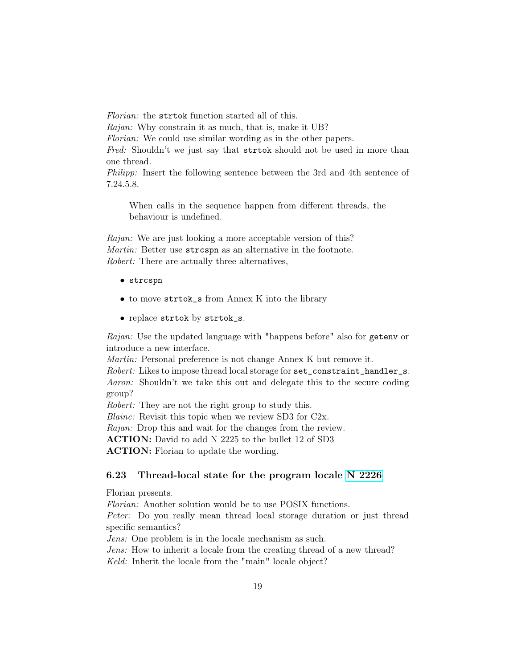Florian: the strtok function started all of this. Rajan: Why constrain it as much, that is, make it UB? Florian: We could use similar wording as in the other papers. Fred: Shouldn't we just say that strict should not be used in more than one thread. Philipp: Insert the following sentence between the 3rd and 4th sentence of 7.24.5.8.

When calls in the sequence happen from different threads, the behaviour is undefined.

Rajan: We are just looking a more acceptable version of this? Martin: Better use strcspn as an alternative in the footnote. Robert: There are actually three alternatives,

- strcspn
- to move strtok\_s from Annex K into the library
- replace strtok by strtok\_s.

Rajan: Use the updated language with "happens before" also for getenv or introduce a new interface.

Martin: Personal preference is not change Annex K but remove it.

Robert: Likes to impose thread local storage for set\_constraint\_handler\_s. Aaron: Shouldn't we take this out and delegate this to the secure coding group?

Robert: They are not the right group to study this.

Blaine: Revisit this topic when we review SD3 for C2x.

Rajan: Drop this and wait for the changes from the review.

ACTION: David to add N 2225 to the bullet 12 of SD3

ACTION: Florian to update the wording.

#### 6.23 Thread-local state for the program locale [N 2226](http://www.open-std.org/jtc1/sc22/wg14/www/docs/n2226.htm)

Florian presents.

Florian: Another solution would be to use POSIX functions. Peter: Do you really mean thread local storage duration or just thread specific semantics?

Jens: One problem is in the locale mechanism as such.

Jens: How to inherit a locale from the creating thread of a new thread? Keld: Inherit the locale from the "main" locale object?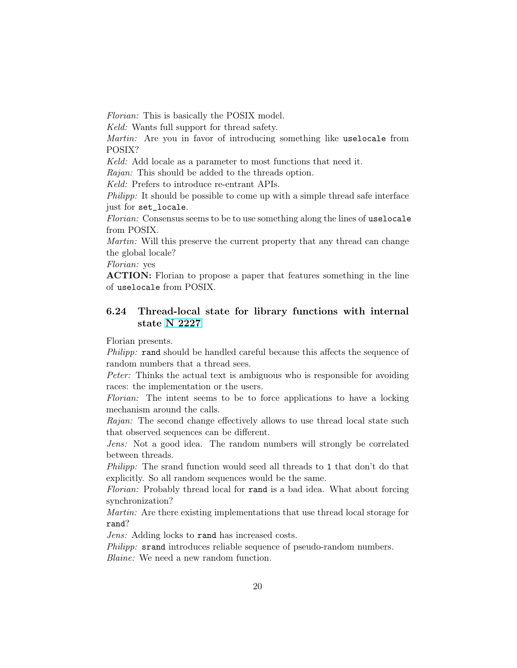Florian: This is basically the POSIX model.

Keld: Wants full support for thread safety.

Martin: Are you in favor of introducing something like uselocale from POSIX?

Keld: Add locale as a parameter to most functions that need it.

Rajan: This should be added to the threads option.

Keld: Prefers to introduce re-entrant APIs.

Philipp: It should be possible to come up with a simple thread safe interface just for set\_locale.

Florian: Consensus seems to be to use something along the lines of uselocale from POSIX.

Martin: Will this preserve the current property that any thread can change the global locale?

Florian: yes

ACTION: Florian to propose a paper that features something in the line of uselocale from POSIX.

## 6.24 Thread-local state for library functions with internal state [N 2227](http://www.open-std.org/jtc1/sc22/wg14/www/docs/n2227.htm)

Florian presents.

Philipp: rand should be handled careful because this affects the sequence of random numbers that a thread sees.

Peter: Thinks the actual text is ambiguous who is responsible for avoiding races: the implementation or the users.

Florian: The intent seems to be to force applications to have a locking mechanism around the calls.

Rajan: The second change effectively allows to use thread local state such that observed sequences can be different.

Jens: Not a good idea. The random numbers will strongly be correlated between threads.

Philipp: The srand function would seed all threads to 1 that don't do that explicitly. So all random sequences would be the same.

Florian: Probably thread local for rand is a bad idea. What about forcing synchronization?

Martin: Are there existing implementations that use thread local storage for rand?

Jens: Adding locks to rand has increased costs.

Philipp: srand introduces reliable sequence of pseudo-random numbers. Blaine: We need a new random function.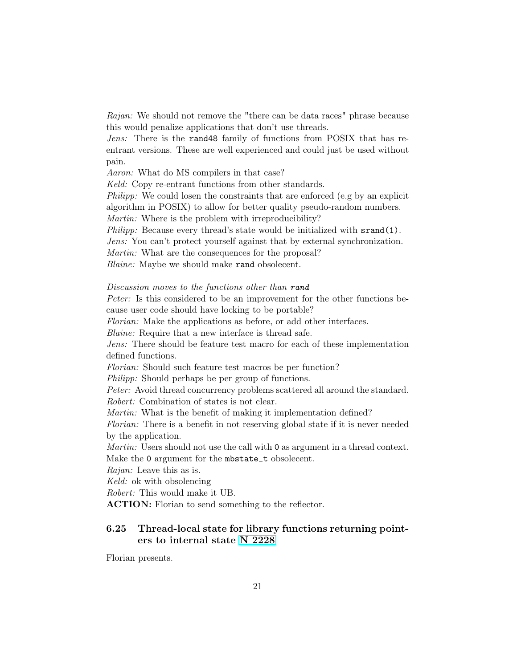Rajan: We should not remove the "there can be data races" phrase because this would penalize applications that don't use threads.

Jens: There is the rand48 family of functions from POSIX that has reentrant versions. These are well experienced and could just be used without pain.

Aaron: What do MS compilers in that case?

Keld: Copy re-entrant functions from other standards.

Philipp: We could losen the constraints that are enforced (e.g by an explicit algorithm in POSIX) to allow for better quality pseudo-random numbers.

Martin: Where is the problem with irreproducibility?

Philipp: Because every thread's state would be initialized with srand(1).

Jens: You can't protect yourself against that by external synchronization.

Martin: What are the consequences for the proposal?

Blaine: Maybe we should make rand obsolecent.

#### Discussion moves to the functions other than rand

Peter: Is this considered to be an improvement for the other functions because user code should have locking to be portable?

Florian: Make the applications as before, or add other interfaces.

Blaine: Require that a new interface is thread safe.

Jens: There should be feature test macro for each of these implementation defined functions.

Florian: Should such feature test macros be per function?

*Philipp:* Should perhaps be per group of functions.

Peter: Avoid thread concurrency problems scattered all around the standard. Robert: Combination of states is not clear.

Martin: What is the benefit of making it implementation defined?

Florian: There is a benefit in not reserving global state if it is never needed by the application.

Martin: Users should not use the call with 0 as argument in a thread context. Make the 0 argument for the mbstate\_t obsolecent.

Rajan: Leave this as is.

Keld: ok with obsolencing

Robert: This would make it UB.

ACTION: Florian to send something to the reflector.

## 6.25 Thread-local state for library functions returning pointers to internal state [N 2228](http://www.open-std.org/jtc1/sc22/wg14/www/docs/n2228.htm)

Florian presents.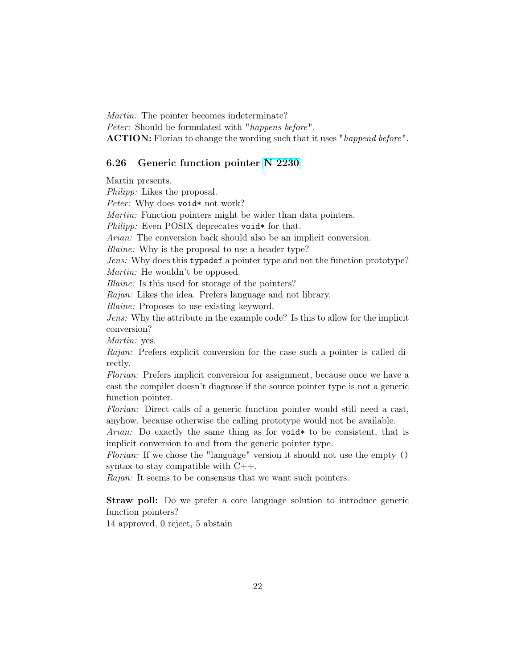Martin: The pointer becomes indeterminate? Peter: Should be formulated with "happens before". ACTION: Florian to change the wording such that it uses "happend before".

#### 6.26 Generic function pointer [N 2230](http://www.open-std.org/jtc1/sc22/wg14/www/docs/n2230.htm)

Martin presents. Philipp: Likes the proposal.

Peter: Why does void\* not work?

Martin: Function pointers might be wider than data pointers.

Philipp: Even POSIX deprecates void\* for that.

Arian: The conversion back should also be an implicit conversion.

Blaine: Why is the proposal to use a header type?

Jens: Why does this typedef a pointer type and not the function prototype? Martin: He wouldn't be opposed.

Blaine: Is this used for storage of the pointers?

Rajan: Likes the idea. Prefers language and not library.

Blaine: Proposes to use existing keyword.

Jens: Why the attribute in the example code? Is this to allow for the implicit conversion?

Martin: yes.

Rajan: Prefers explicit conversion for the case such a pointer is called directly.

Florian: Prefers implicit conversion for assignment, because once we have a cast the compiler doesn't diagnose if the source pointer type is not a generic function pointer.

Florian: Direct calls of a generic function pointer would still need a cast, anyhow, because otherwise the calling prototype would not be available.

Arian: Do exactly the same thing as for void  $*$  to be consistent, that is implicit conversion to and from the generic pointer type.

Florian: If we chose the "language" version it should not use the empty () syntax to stay compatible with  $C_{++}$ .

Rajan: It seems to be consensus that we want such pointers.

Straw poll: Do we prefer a core language solution to introduce generic function pointers?

14 approved, 0 reject, 5 abstain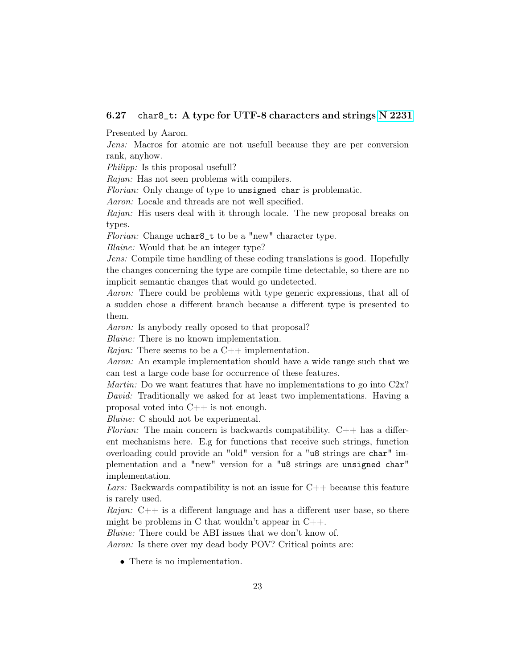### 6.27 char8\_t: A type for UTF-8 characters and strings [N 2231](http://www.open-std.org/jtc1/sc22/wg14/www/docs/n2231.htm)

Presented by Aaron.

Jens: Macros for atomic are not usefull because they are per conversion rank, anyhow.

Philipp: Is this proposal usefull?

Rajan: Has not seen problems with compilers.

Florian: Only change of type to unsigned char is problematic.

Aaron: Locale and threads are not well specified.

Rajan: His users deal with it through locale. The new proposal breaks on types.

Florian: Change uchar<sup>8\_t</sup> to be a "new" character type.

Blaine: Would that be an integer type?

Jens: Compile time handling of these coding translations is good. Hopefully the changes concerning the type are compile time detectable, so there are no implicit semantic changes that would go undetected.

Aaron: There could be problems with type generic expressions, that all of a sudden chose a different branch because a different type is presented to them.

Aaron: Is anybody really oposed to that proposal?

Blaine: There is no known implementation.

Rajan: There seems to be a  $C_{++}$  implementation.

Aaron: An example implementation should have a wide range such that we can test a large code base for occurrence of these features.

*Martin:* Do we want features that have no implementations to go into  $C2x$ ? David: Traditionally we asked for at least two implementations. Having a proposal voted into  $C_{++}$  is not enough.

Blaine: C should not be experimental.

Florian: The main concern is backwards compatibility.  $C++$  has a different mechanisms here. E.g for functions that receive such strings, function overloading could provide an "old" version for a "u8 strings are char" implementation and a "new" version for a "u8 strings are unsigned char" implementation.

Lars: Backwards compatibility is not an issue for  $C_{++}$  because this feature is rarely used.

Rajan:  $C++$  is a different language and has a different user base, so there might be problems in C that wouldn't appear in  $C_{++}$ .

Blaine: There could be ABI issues that we don't know of.

Aaron: Is there over my dead body POV? Critical points are:

• There is no implementation.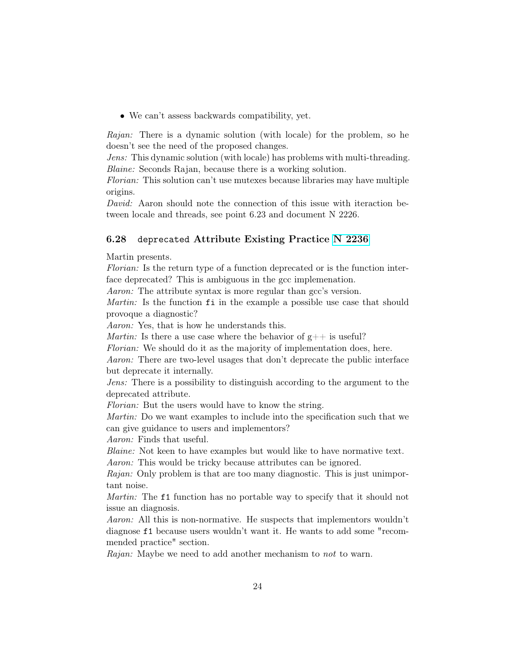• We can't assess backwards compatibility, yet.

Rajan: There is a dynamic solution (with locale) for the problem, so he doesn't see the need of the proposed changes.

Jens: This dynamic solution (with locale) has problems with multi-threading. Blaine: Seconds Rajan, because there is a working solution.

Florian: This solution can't use mutexes because libraries may have multiple origins.

David: Aaron should note the connection of this issue with iteraction between locale and threads, see point 6.23 and document N 2226.

#### 6.28 deprecated Attribute Existing Practice [N 2236](http://www.open-std.org/jtc1/sc22/wg14/www/docs/n2236.htm)

Martin presents.

Florian: Is the return type of a function deprecated or is the function interface deprecated? This is ambiguous in the gcc implemenation.

Aaron: The attribute syntax is more regular than gcc's version.

Martin: Is the function fi in the example a possible use case that should provoque a diagnostic?

Aaron: Yes, that is how he understands this.

*Martin:* Is there a use case where the behavior of  $g++$  is useful?

Florian: We should do it as the majority of implementation does, here.

Aaron: There are two-level usages that don't deprecate the public interface but deprecate it internally.

Jens: There is a possibility to distinguish according to the argument to the deprecated attribute.

Florian: But the users would have to know the string.

Martin: Do we want examples to include into the specification such that we can give guidance to users and implementors?

Aaron: Finds that useful.

Blaine: Not keen to have examples but would like to have normative text. Aaron: This would be tricky because attributes can be ignored.

Rajan: Only problem is that are too many diagnostic. This is just unimportant noise.

Martin: The f1 function has no portable way to specify that it should not issue an diagnosis.

Aaron: All this is non-normative. He suspects that implementors wouldn't diagnose f1 because users wouldn't want it. He wants to add some "recommended practice" section.

Rajan: Maybe we need to add another mechanism to not to warn.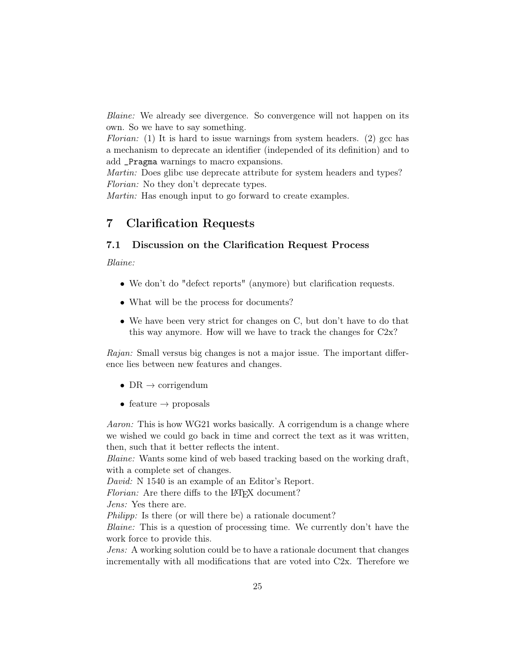Blaine: We already see divergence. So convergence will not happen on its own. So we have to say something.

Florian: (1) It is hard to issue warnings from system headers. (2) gcc has a mechanism to deprecate an identifier (independed of its definition) and to add \_Pragma warnings to macro expansions.

Martin: Does glibc use deprecate attribute for system headers and types? Florian: No they don't deprecate types.

Martin: Has enough input to go forward to create examples.

## 7 Clarification Requests

## 7.1 Discussion on the Clarification Request Process

Blaine:

- We don't do "defect reports" (anymore) but clarification requests.
- What will be the process for documents?
- We have been very strict for changes on C, but don't have to do that this way anymore. How will we have to track the changes for C2x?

Rajan: Small versus big changes is not a major issue. The important difference lies between new features and changes.

- DR  $\rightarrow$  corrigendum
- feature  $\rightarrow$  proposals

Aaron: This is how WG21 works basically. A corrigendum is a change where we wished we could go back in time and correct the text as it was written, then, such that it better reflects the intent.

Blaine: Wants some kind of web based tracking based on the working draft, with a complete set of changes.

David: N 1540 is an example of an Editor's Report.

Florian: Are there diffs to the L<sup>AT</sup>FX document?

Jens: Yes there are.

Philipp: Is there (or will there be) a rationale document?

Blaine: This is a question of processing time. We currently don't have the work force to provide this.

Jens: A working solution could be to have a rationale document that changes incrementally with all modifications that are voted into C2x. Therefore we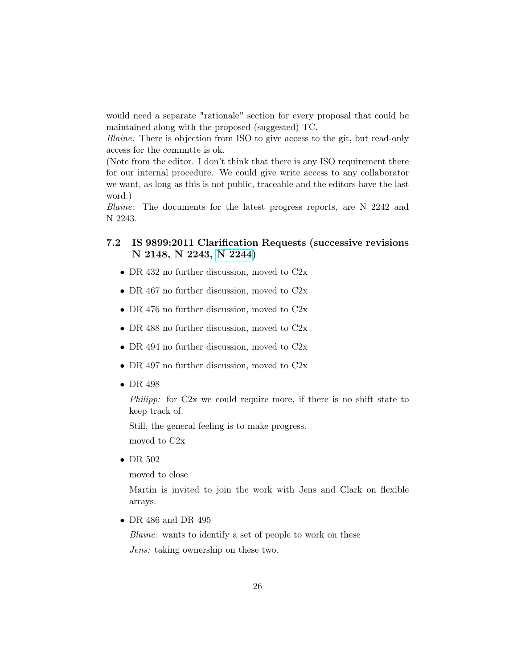would need a separate "rationale" section for every proposal that could be maintained along with the proposed (suggested) TC.

Blaine: There is objection from ISO to give access to the git, but read-only access for the committe is ok.

(Note from the editor. I don't think that there is any ISO requirement there for our internal procedure. We could give write access to any collaborator we want, as long as this is not public, traceable and the editors have the last word.)

Blaine: The documents for the latest progress reports, are N 2242 and N 2243.

## 7.2 IS 9899:2011 Clarification Requests (successive revisions N 2148, N 2243, [N 2244\)](http://www.open-std.org/jtc1/sc22/wg14/www/docs/n2244.htm)

- DR 432 no further discussion, moved to C2x
- DR 467 no further discussion, moved to C2x
- DR 476 no further discussion, moved to C2x
- DR 488 no further discussion, moved to C2x
- DR 494 no further discussion, moved to C2x
- DR 497 no further discussion, moved to C2x
- DR 498

Philipp: for C2x we could require more, if there is no shift state to keep track of.

Still, the general feeling is to make progress.

moved to C2x

• DR 502

moved to close

Martin is invited to join the work with Jens and Clark on flexible arrays.

• DR 486 and DR 495

Blaine: wants to identify a set of people to work on these Jens: taking ownership on these two.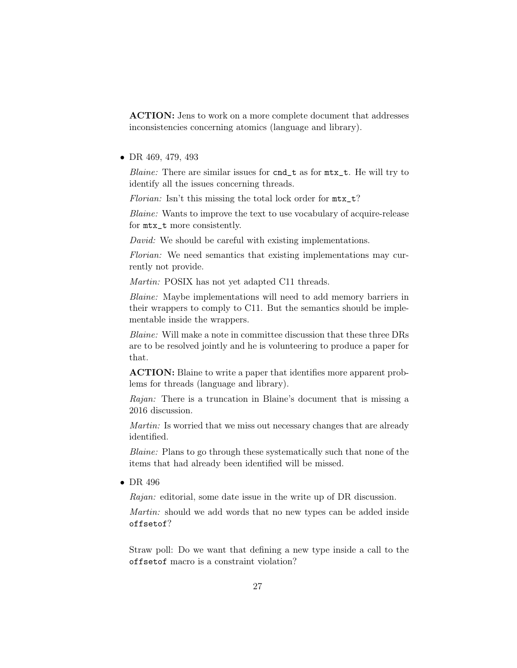ACTION: Jens to work on a more complete document that addresses inconsistencies concerning atomics (language and library).

• DR 469, 479, 493

Blaine: There are similar issues for cnd\_t as for mtx\_t. He will try to identify all the issues concerning threads.

Florian: Isn't this missing the total lock order for  $mtx_t$ <sup>?</sup>

Blaine: Wants to improve the text to use vocabulary of acquire-release for mtx\_t more consistently.

David: We should be careful with existing implementations.

Florian: We need semantics that existing implementations may currently not provide.

Martin: POSIX has not yet adapted C11 threads.

Blaine: Maybe implementations will need to add memory barriers in their wrappers to comply to C11. But the semantics should be implementable inside the wrappers.

Blaine: Will make a note in committee discussion that these three DRs are to be resolved jointly and he is volunteering to produce a paper for that.

ACTION: Blaine to write a paper that identifies more apparent problems for threads (language and library).

Rajan: There is a truncation in Blaine's document that is missing a 2016 discussion.

Martin: Is worried that we miss out necessary changes that are already identified.

Blaine: Plans to go through these systematically such that none of the items that had already been identified will be missed.

• DR 496

Rajan: editorial, some date issue in the write up of DR discussion.

Martin: should we add words that no new types can be added inside offsetof?

Straw poll: Do we want that defining a new type inside a call to the offsetof macro is a constraint violation?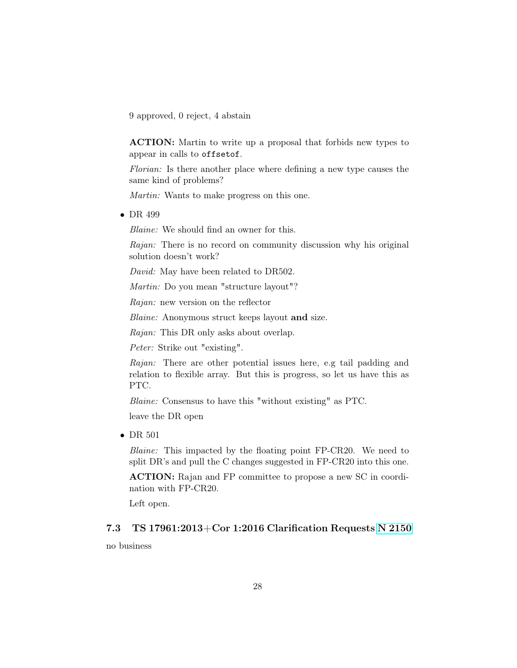9 approved, 0 reject, 4 abstain

ACTION: Martin to write up a proposal that forbids new types to appear in calls to offsetof.

Florian: Is there another place where defining a new type causes the same kind of problems?

Martin: Wants to make progress on this one.

• DR 499

Blaine: We should find an owner for this.

Rajan: There is no record on community discussion why his original solution doesn't work?

David: May have been related to DR502.

Martin: Do you mean "structure layout"?

Rajan: new version on the reflector

Blaine: Anonymous struct keeps layout and size.

Rajan: This DR only asks about overlap.

Peter: Strike out "existing".

Rajan: There are other potential issues here, e.g tail padding and relation to flexible array. But this is progress, so let us have this as PTC.

Blaine: Consensus to have this "without existing" as PTC.

leave the DR open

• DR 501

Blaine: This impacted by the floating point FP-CR20. We need to split DR's and pull the C changes suggested in FP-CR20 into this one.

ACTION: Rajan and FP committee to propose a new SC in coordination with FP-CR20.

Left open.

## 7.3 TS 17961:2013+Cor 1:2016 Clarification Requests [N 2150](http://www.open-std.org/jtc1/sc22/wg14/www/docs/n2150.htm)

no business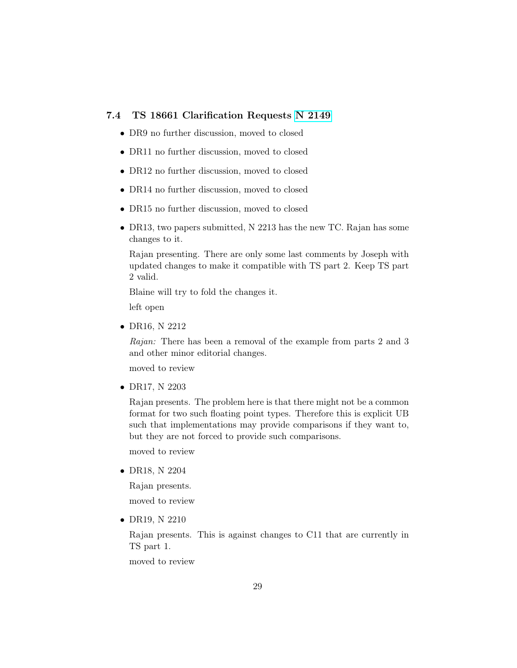### 7.4 TS 18661 Clarification Requests [N 2149](http://www.open-std.org/jtc1/sc22/wg14/www/docs/n2149.htm)

- DR9 no further discussion, moved to closed
- DR11 no further discussion, moved to closed
- DR12 no further discussion, moved to closed
- DR14 no further discussion, moved to closed
- DR15 no further discussion, moved to closed
- DR13, two papers submitted, N 2213 has the new TC. Rajan has some changes to it.

Rajan presenting. There are only some last comments by Joseph with updated changes to make it compatible with TS part 2. Keep TS part 2 valid.

Blaine will try to fold the changes it.

left open

• DR16, N 2212

Rajan: There has been a removal of the example from parts 2 and 3 and other minor editorial changes.

moved to review

• DR17, N 2203

Rajan presents. The problem here is that there might not be a common format for two such floating point types. Therefore this is explicit UB such that implementations may provide comparisons if they want to, but they are not forced to provide such comparisons.

moved to review

• DR18, N 2204

Rajan presents.

moved to review

• DR19, N 2210

Rajan presents. This is against changes to C11 that are currently in TS part 1.

moved to review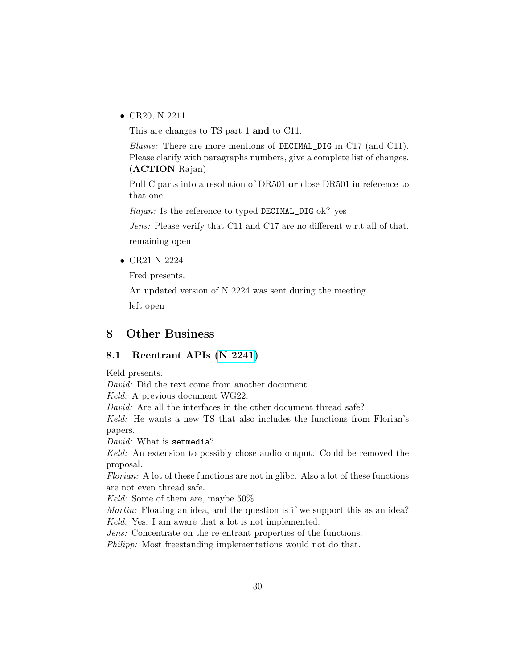• CR20, N 2211

This are changes to TS part 1 and to C11.

Blaine: There are more mentions of DECIMAL\_DIG in C17 (and C11). Please clarify with paragraphs numbers, give a complete list of changes. (ACTION Rajan)

Pull C parts into a resolution of DR501 or close DR501 in reference to that one.

Rajan: Is the reference to typed DECIMAL\_DIG ok? yes

Jens: Please verify that C11 and C17 are no different w.r.t all of that. remaining open

• CR21 N 2224

Fred presents.

An updated version of N 2224 was sent during the meeting. left open

## 8 Other Business

#### 8.1 Reentrant APIs [\(N 2241\)](http://www.open-std.org/jtc1/sc22/wg14/www/docs/n2241.pdf)

Keld presents. David: Did the text come from another document Keld: A previous document WG22. David: Are all the interfaces in the other document thread safe? Keld: He wants a new TS that also includes the functions from Florian's papers. David: What is setmedia? Keld: An extension to possibly chose audio output. Could be removed the proposal. Florian: A lot of these functions are not in glibc. Also a lot of these functions are not even thread safe. Keld: Some of them are, maybe 50%. Martin: Floating an idea, and the question is if we support this as an idea? Keld: Yes. I am aware that a lot is not implemented. Jens: Concentrate on the re-entrant properties of the functions. Philipp: Most freestanding implementations would not do that.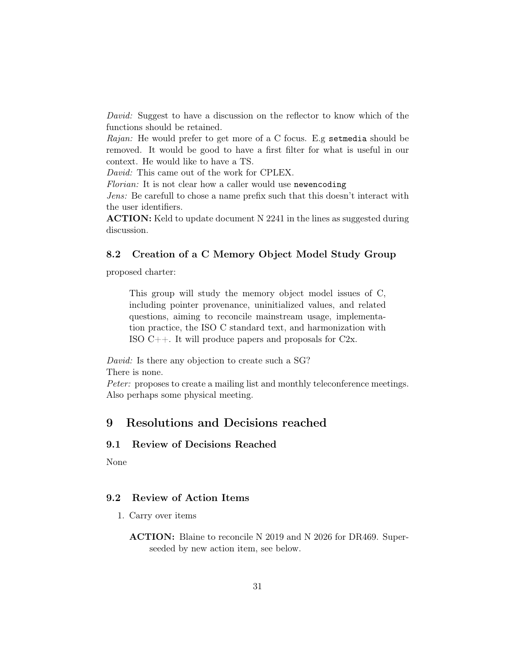David: Suggest to have a discussion on the reflector to know which of the functions should be retained.

Rajan: He would prefer to get more of a C focus. E.g setmedia should be removed. It would be good to have a first filter for what is useful in our context. He would like to have a TS.

David: This came out of the work for CPLEX.

Florian: It is not clear how a caller would use newencoding

Jens: Be carefull to chose a name prefix such that this doesn't interact with the user identifiers.

ACTION: Keld to update document N 2241 in the lines as suggested during discussion.

#### 8.2 Creation of a C Memory Object Model Study Group

proposed charter:

This group will study the memory object model issues of C, including pointer provenance, uninitialized values, and related questions, aiming to reconcile mainstream usage, implementation practice, the ISO C standard text, and harmonization with ISO  $C_{++}$ . It will produce papers and proposals for  $C_{2x}$ .

David: Is there any objection to create such a SG? There is none.

Peter: proposes to create a mailing list and monthly teleconference meetings. Also perhaps some physical meeting.

## 9 Resolutions and Decisions reached

#### 9.1 Review of Decisions Reached

None

### 9.2 Review of Action Items

1. Carry over items

ACTION: Blaine to reconcile N 2019 and N 2026 for DR469. Superseeded by new action item, see below.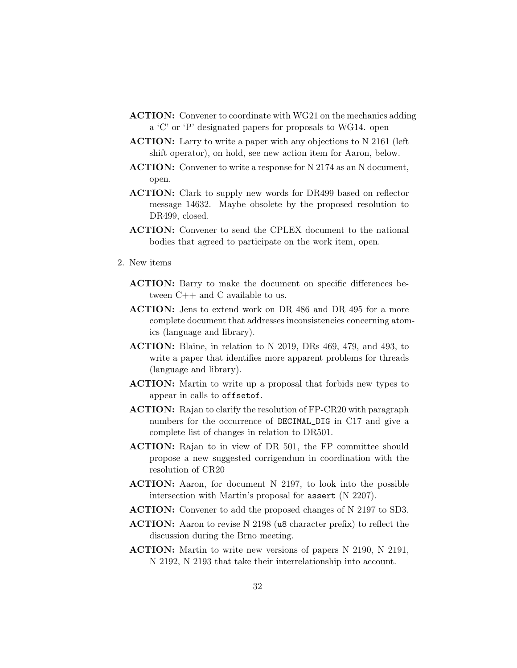- ACTION: Convener to coordinate with WG21 on the mechanics adding a 'C' or 'P' designated papers for proposals to WG14. open
- ACTION: Larry to write a paper with any objections to N 2161 (left) shift operator), on hold, see new action item for Aaron, below.
- ACTION: Convener to write a response for N 2174 as an N document, open.
- ACTION: Clark to supply new words for DR499 based on reflector message 14632. Maybe obsolete by the proposed resolution to DR499, closed.
- ACTION: Convener to send the CPLEX document to the national bodies that agreed to participate on the work item, open.
- 2. New items
	- ACTION: Barry to make the document on specific differences between  $C_{++}$  and C available to us.
	- ACTION: Jens to extend work on DR 486 and DR 495 for a more complete document that addresses inconsistencies concerning atomics (language and library).
	- ACTION: Blaine, in relation to N 2019, DRs 469, 479, and 493, to write a paper that identifies more apparent problems for threads (language and library).
	- ACTION: Martin to write up a proposal that forbids new types to appear in calls to offsetof.
	- ACTION: Rajan to clarify the resolution of FP-CR20 with paragraph numbers for the occurrence of DECIMAL\_DIG in C17 and give a complete list of changes in relation to DR501.
	- ACTION: Rajan to in view of DR 501, the FP committee should propose a new suggested corrigendum in coordination with the resolution of CR20
	- ACTION: Aaron, for document N 2197, to look into the possible intersection with Martin's proposal for assert (N 2207).
	- ACTION: Convener to add the proposed changes of N 2197 to SD3.
	- ACTION: Aaron to revise N 2198 (u8 character prefix) to reflect the discussion during the Brno meeting.
	- ACTION: Martin to write new versions of papers N 2190, N 2191, N 2192, N 2193 that take their interrelationship into account.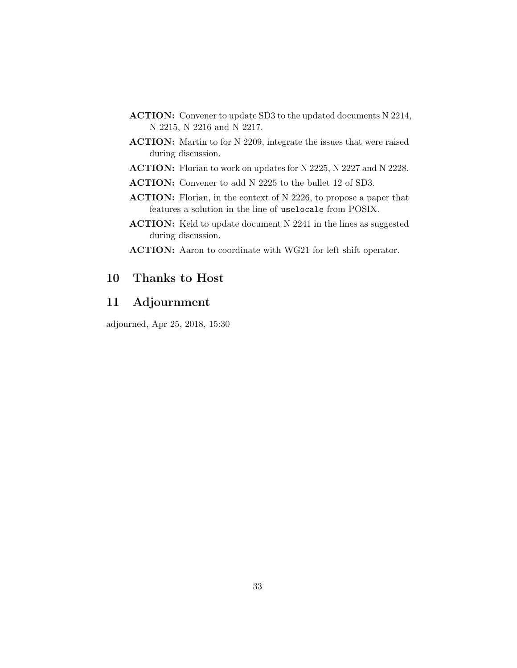- ACTION: Convener to update SD3 to the updated documents N 2214, N 2215, N 2216 and N 2217.
- ACTION: Martin to for N 2209, integrate the issues that were raised during discussion.
- ACTION: Florian to work on updates for N 2225, N 2227 and N 2228.
- ACTION: Convener to add N 2225 to the bullet 12 of SD3.
- ACTION: Florian, in the context of N 2226, to propose a paper that features a solution in the line of uselocale from POSIX.
- ACTION: Keld to update document N 2241 in the lines as suggested during discussion.
- ACTION: Aaron to coordinate with WG21 for left shift operator.

## 10 Thanks to Host

## 11 Adjournment

adjourned, Apr 25, 2018, 15:30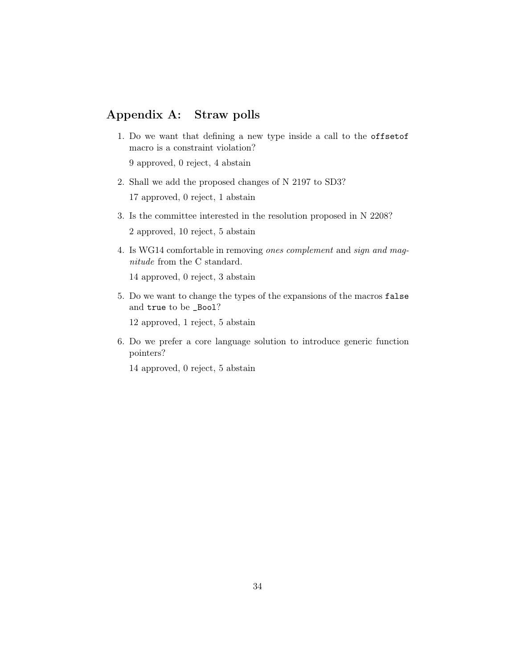## Appendix A: Straw polls

1. Do we want that defining a new type inside a call to the offsetof macro is a constraint violation?

9 approved, 0 reject, 4 abstain

- 2. Shall we add the proposed changes of N 2197 to SD3? 17 approved, 0 reject, 1 abstain
- 3. Is the committee interested in the resolution proposed in N 2208? 2 approved, 10 reject, 5 abstain
- 4. Is WG14 comfortable in removing ones complement and sign and magnitude from the C standard.

14 approved, 0 reject, 3 abstain

5. Do we want to change the types of the expansions of the macros false and true to be \_Bool?

12 approved, 1 reject, 5 abstain

6. Do we prefer a core language solution to introduce generic function pointers?

14 approved, 0 reject, 5 abstain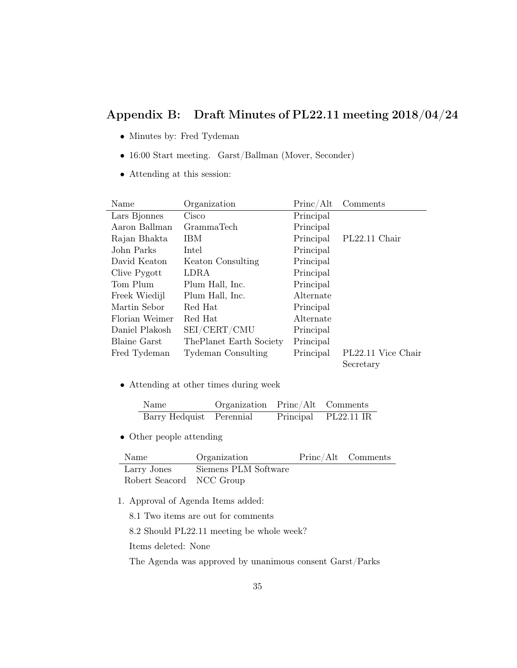## Appendix B: Draft Minutes of PL22.11 meeting 2018/04/24

- Minutes by: Fred Tydeman
- 16:00 Start meeting. Garst/Ballman (Mover, Seconder)
- Attending at this session:

| Name           | Organization            | Princ/Alt | Comments           |
|----------------|-------------------------|-----------|--------------------|
| Lars Bjonnes   | Cisco                   | Principal |                    |
| Aaron Ballman  | <b>GrammaTech</b>       | Principal |                    |
| Rajan Bhakta   | <b>IBM</b>              | Principal | PL22.11 Chair      |
| John Parks     | Intel                   | Principal |                    |
| David Keaton   | Keaton Consulting       | Principal |                    |
| Clive Pygott   | LDRA                    | Principal |                    |
| Tom Plum       | Plum Hall, Inc.         | Principal |                    |
| Freek Wiedijl  | Plum Hall, Inc.         | Alternate |                    |
| Martin Sebor   | Red Hat                 | Principal |                    |
| Florian Weimer | Red Hat                 | Alternate |                    |
| Daniel Plakosh | SEI/CERT/CMU            | Principal |                    |
| Blaine Garst   | ThePlanet Earth Society | Principal |                    |
| Fred Tydeman   | Tydeman Consulting      | Principal | PL22.11 Vice Chair |
|                |                         |           | Secretary          |

• Attending at other times during week

| Name                     | Organization Princ/Alt Comments |                      |
|--------------------------|---------------------------------|----------------------|
| Barry Hedquist Perennial |                                 | Principal PL22.11 IR |

• Other people attending

| Name                     | Organization         | Princ/Alt Comments |
|--------------------------|----------------------|--------------------|
| Larry Jones              | Siemens PLM Software |                    |
| Robert Seacord NCC Group |                      |                    |

1. Approval of Agenda Items added:

8.1 Two items are out for comments

8.2 Should PL22.11 meeting be whole week?

Items deleted: None

The Agenda was approved by unanimous consent Garst/Parks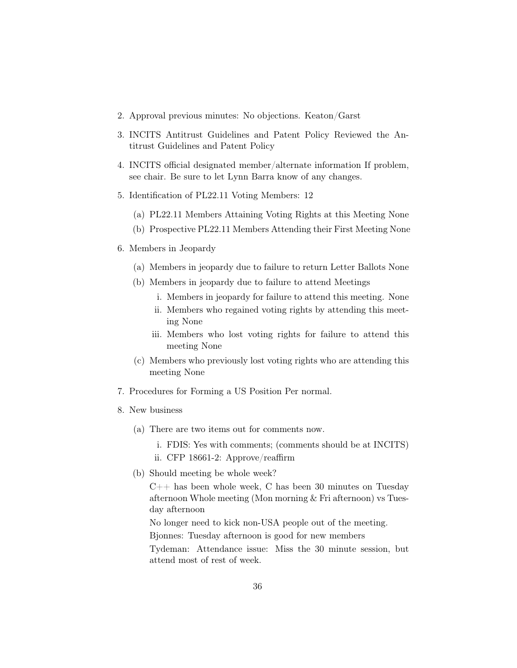- 2. Approval previous minutes: No objections. Keaton/Garst
- 3. INCITS Antitrust Guidelines and Patent Policy Reviewed the Antitrust Guidelines and Patent Policy
- 4. INCITS official designated member/alternate information If problem, see chair. Be sure to let Lynn Barra know of any changes.
- 5. Identification of PL22.11 Voting Members: 12
	- (a) PL22.11 Members Attaining Voting Rights at this Meeting None
	- (b) Prospective PL22.11 Members Attending their First Meeting None
- 6. Members in Jeopardy
	- (a) Members in jeopardy due to failure to return Letter Ballots None
	- (b) Members in jeopardy due to failure to attend Meetings
		- i. Members in jeopardy for failure to attend this meeting. None
		- ii. Members who regained voting rights by attending this meeting None
		- iii. Members who lost voting rights for failure to attend this meeting None
	- (c) Members who previously lost voting rights who are attending this meeting None
- 7. Procedures for Forming a US Position Per normal.
- 8. New business
	- (a) There are two items out for comments now.

i. FDIS: Yes with comments; (comments should be at INCITS)

- ii. CFP 18661-2: Approve/reaffirm
- (b) Should meeting be whole week?

 $C++$  has been whole week, C has been 30 minutes on Tuesday afternoon Whole meeting (Mon morning & Fri afternoon) vs Tuesday afternoon

No longer need to kick non-USA people out of the meeting.

Bjonnes: Tuesday afternoon is good for new members

Tydeman: Attendance issue: Miss the 30 minute session, but attend most of rest of week.